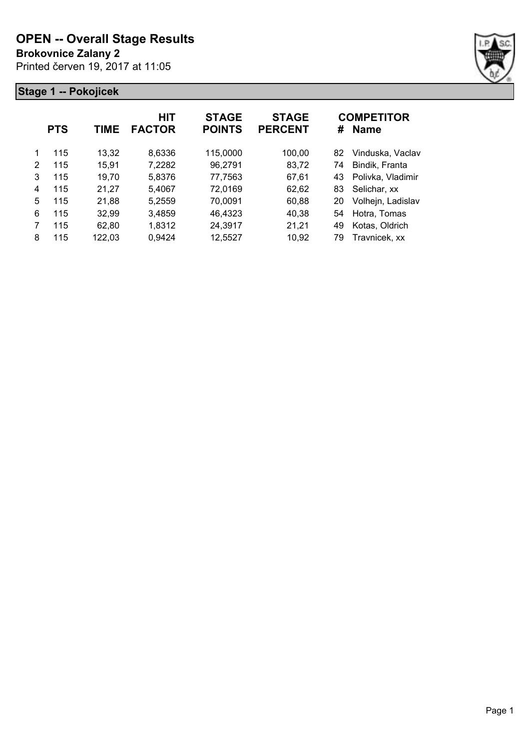**Brokovnice Zalany 2**

Printed červen 19, 2017 at 11:05



|   | <b>PTS</b> | TIME   | <b>HIT</b><br><b>FACTOR</b> | <b>STAGE</b><br><b>POINTS</b> | <b>STAGE</b><br><b>PERCENT</b> | #  | <b>COMPETITOR</b><br><b>Name</b> |
|---|------------|--------|-----------------------------|-------------------------------|--------------------------------|----|----------------------------------|
| 1 | 115        | 13,32  | 8,6336                      | 115,0000                      | 100,00                         | 82 | Vinduska, Vaclav                 |
| 2 | 115        | 15.91  | 7,2282                      | 96,2791                       | 83,72                          | 74 | Bindik, Franta                   |
| 3 | 115        | 19,70  | 5,8376                      | 77,7563                       | 67,61                          | 43 | Polivka, Vladimir                |
| 4 | 115        | 21,27  | 5,4067                      | 72,0169                       | 62,62                          | 83 | Selichar, xx                     |
| 5 | 115        | 21,88  | 5,2559                      | 70,0091                       | 60,88                          | 20 | Volhejn, Ladislav                |
| 6 | 115        | 32,99  | 3,4859                      | 46,4323                       | 40,38                          | 54 | Hotra, Tomas                     |
| 7 | 115        | 62.80  | 1,8312                      | 24,3917                       | 21,21                          | 49 | Kotas, Oldrich                   |
| 8 | 115        | 122,03 | 0,9424                      | 12,5527                       | 10,92                          | 79 | Travnicek, xx                    |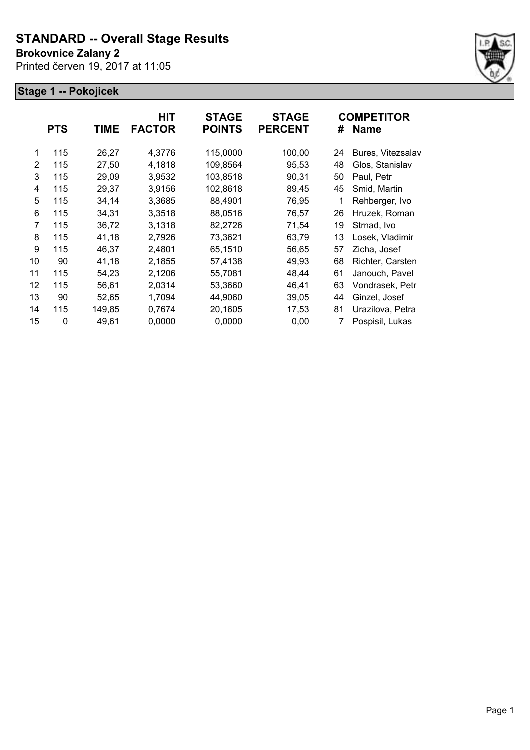**Brokovnice Zalany 2**

Printed červen 19, 2017 at 11:05



|    | <b>PTS</b> | TIME   | <b>HIT</b><br><b>FACTOR</b> | <b>STAGE</b><br><b>POINTS</b> | <b>STAGE</b><br><b>PERCENT</b> | #  | <b>COMPETITOR</b><br><b>Name</b> |
|----|------------|--------|-----------------------------|-------------------------------|--------------------------------|----|----------------------------------|
| 1  | 115        | 26,27  | 4,3776                      | 115,0000                      | 100,00                         | 24 | Bures, Vitezsalav                |
| 2  | 115        | 27,50  | 4,1818                      | 109,8564                      | 95,53                          | 48 | Glos, Stanislav                  |
| 3  | 115        | 29,09  | 3,9532                      | 103,8518                      | 90,31                          | 50 | Paul, Petr                       |
| 4  | 115        | 29,37  | 3,9156                      | 102,8618                      | 89,45                          | 45 | Smid, Martin                     |
| 5  | 115        | 34,14  | 3,3685                      | 88,4901                       | 76,95                          | 1  | Rehberger, Ivo                   |
| 6  | 115        | 34,31  | 3,3518                      | 88,0516                       | 76,57                          | 26 | Hruzek, Roman                    |
| 7  | 115        | 36,72  | 3,1318                      | 82,2726                       | 71,54                          | 19 | Strnad, Ivo                      |
| 8  | 115        | 41,18  | 2,7926                      | 73,3621                       | 63,79                          | 13 | Losek, Vladimir                  |
| 9  | 115        | 46,37  | 2,4801                      | 65,1510                       | 56,65                          | 57 | Zicha, Josef                     |
| 10 | 90         | 41,18  | 2,1855                      | 57,4138                       | 49,93                          | 68 | Richter, Carsten                 |
| 11 | 115        | 54,23  | 2,1206                      | 55,7081                       | 48,44                          | 61 | Janouch, Pavel                   |
| 12 | 115        | 56,61  | 2,0314                      | 53,3660                       | 46,41                          | 63 | Vondrasek, Petr                  |
| 13 | 90         | 52,65  | 1,7094                      | 44,9060                       | 39,05                          | 44 | Ginzel, Josef                    |
| 14 | 115        | 149,85 | 0,7674                      | 20,1605                       | 17,53                          | 81 | Urazilova, Petra                 |
| 15 | 0          | 49,61  | 0,0000                      | 0,0000                        | 0,00                           | 7  | Pospisil, Lukas                  |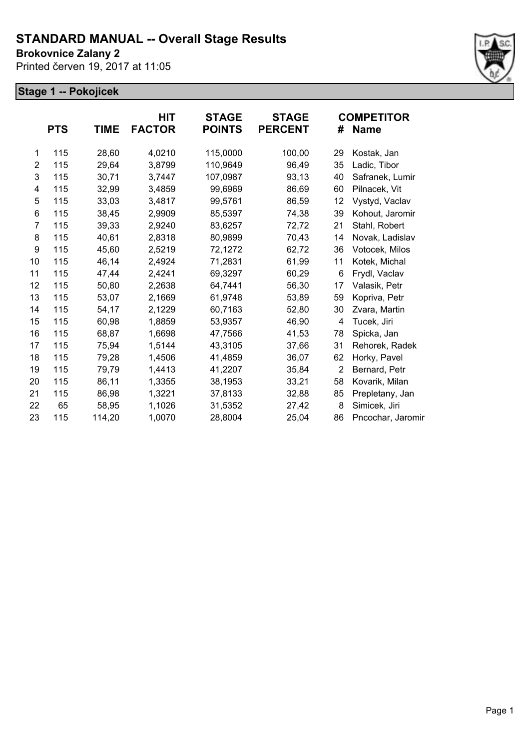**Brokovnice Zalany 2**

Printed červen 19, 2017 at 11:05



|                | <b>PTS</b> | <b>TIME</b> | HIT<br><b>FACTOR</b> | <b>STAGE</b><br><b>POINTS</b> | <b>STAGE</b><br><b>PERCENT</b> | #              | <b>COMPETITOR</b><br><b>Name</b> |
|----------------|------------|-------------|----------------------|-------------------------------|--------------------------------|----------------|----------------------------------|
| 1              | 115        | 28,60       | 4,0210               | 115,0000                      | 100,00                         | 29             | Kostak, Jan                      |
| $\overline{2}$ | 115        | 29,64       | 3,8799               | 110,9649                      | 96,49                          | 35             | Ladic, Tibor                     |
| 3              | 115        | 30,71       | 3,7447               | 107,0987                      | 93,13                          | 40             | Safranek, Lumir                  |
| 4              | 115        | 32,99       | 3,4859               | 99,6969                       | 86,69                          | 60             | Pilnacek, Vit                    |
| 5              | 115        | 33,03       | 3,4817               | 99,5761                       | 86,59                          | 12             | Vystyd, Vaclav                   |
| 6              | 115        | 38,45       | 2,9909               | 85,5397                       | 74,38                          | 39             | Kohout, Jaromir                  |
| $\overline{7}$ | 115        | 39,33       | 2,9240               | 83,6257                       | 72,72                          | 21             | Stahl, Robert                    |
| 8              | 115        | 40,61       | 2,8318               | 80,9899                       | 70,43                          | 14             | Novak, Ladislav                  |
| 9              | 115        | 45,60       | 2,5219               | 72,1272                       | 62,72                          | 36             | Votocek, Milos                   |
| 10             | 115        | 46,14       | 2,4924               | 71,2831                       | 61,99                          | 11             | Kotek, Michal                    |
| 11             | 115        | 47,44       | 2,4241               | 69,3297                       | 60,29                          | 6              | Frydl, Vaclav                    |
| 12             | 115        | 50,80       | 2,2638               | 64,7441                       | 56,30                          | 17             | Valasik, Petr                    |
| 13             | 115        | 53,07       | 2,1669               | 61,9748                       | 53,89                          | 59             | Kopriva, Petr                    |
| 14             | 115        | 54,17       | 2,1229               | 60,7163                       | 52,80                          | 30             | Zvara, Martin                    |
| 15             | 115        | 60,98       | 1,8859               | 53,9357                       | 46,90                          | 4              | Tucek, Jiri                      |
| 16             | 115        | 68,87       | 1,6698               | 47,7566                       | 41,53                          | 78             | Spicka, Jan                      |
| 17             | 115        | 75,94       | 1,5144               | 43,3105                       | 37,66                          | 31             | Rehorek, Radek                   |
| 18             | 115        | 79,28       | 1,4506               | 41,4859                       | 36,07                          | 62             | Horky, Pavel                     |
| 19             | 115        | 79,79       | 1,4413               | 41,2207                       | 35,84                          | $\overline{2}$ | Bernard, Petr                    |
| 20             | 115        | 86,11       | 1,3355               | 38,1953                       | 33,21                          | 58             | Kovarik, Milan                   |
| 21             | 115        | 86,98       | 1,3221               | 37,8133                       | 32,88                          | 85             | Prepletany, Jan                  |
| 22             | 65         | 58,95       | 1,1026               | 31,5352                       | 27,42                          | 8              | Simicek, Jiri                    |
| 23             | 115        | 114,20      | 1,0070               | 28,8004                       | 25,04                          | 86             | Pncochar, Jaromir                |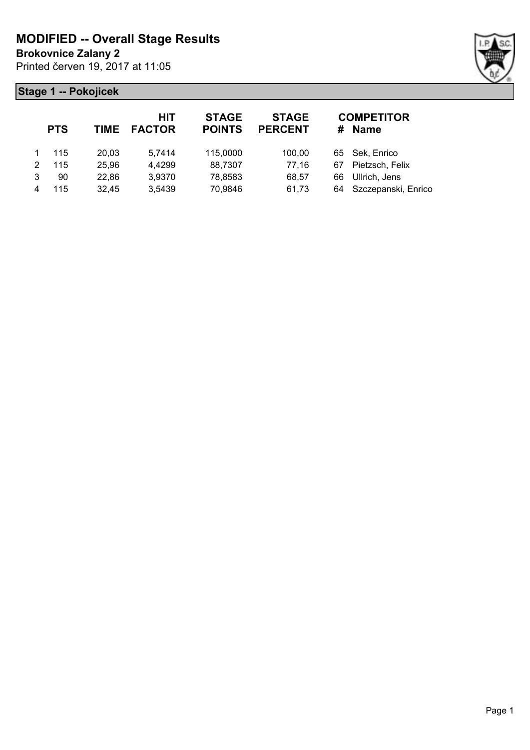**Brokovnice Zalany 2**

Printed červen 19, 2017 at 11:05



|   | <b>PTS</b> |       | HIT<br><b>TIME FACTOR</b> | <b>STAGE</b><br><b>POINTS</b> | <b>STAGE</b><br><b>PERCENT</b> |    | <b>COMPETITOR</b><br># Name |
|---|------------|-------|---------------------------|-------------------------------|--------------------------------|----|-----------------------------|
|   | 115        | 20,03 | 5,7414                    | 115,0000                      | 100,00                         |    | 65 Sek, Enrico              |
| 2 | 115        | 25,96 | 4,4299                    | 88,7307                       | 77,16                          | 67 | Pietzsch, Felix             |
| 3 | 90         | 22,86 | 3,9370                    | 78,8583                       | 68,57                          | 66 | Ullrich, Jens               |
| 4 | 115        | 32,45 | 3,5439                    | 70,9846                       | 61,73                          |    | 64 Szczepanski, Enrico      |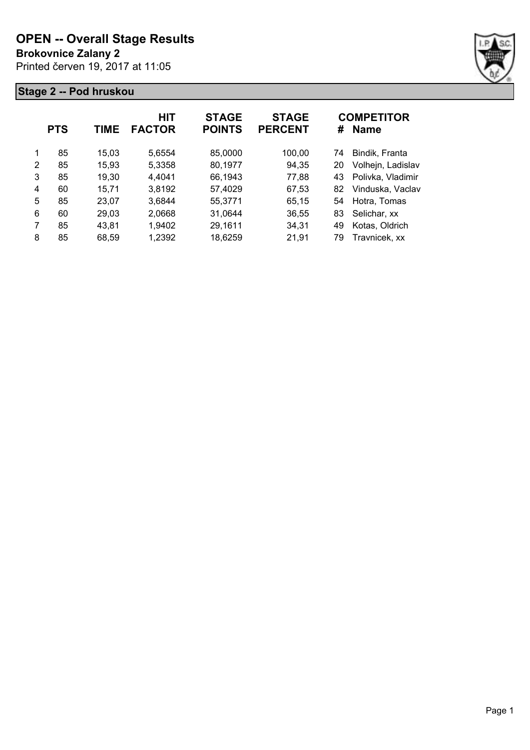**Brokovnice Zalany 2**

Printed červen 19, 2017 at 11:05



|   | <b>PTS</b> | TIME  | <b>HIT</b><br><b>FACTOR</b> | <b>STAGE</b><br><b>POINTS</b> | <b>STAGE</b><br><b>PERCENT</b> | #  | <b>COMPETITOR</b><br><b>Name</b> |
|---|------------|-------|-----------------------------|-------------------------------|--------------------------------|----|----------------------------------|
| 1 | 85         | 15,03 | 5,6554                      | 85,0000                       | 100,00                         | 74 | Bindik, Franta                   |
| 2 | 85         | 15,93 | 5,3358                      | 80,1977                       | 94,35                          | 20 | Volhejn, Ladislav                |
| 3 | 85         | 19,30 | 4,4041                      | 66,1943                       | 77,88                          | 43 | Polivka, Vladimir                |
| 4 | 60         | 15,71 | 3,8192                      | 57,4029                       | 67,53                          | 82 | Vinduska, Vaclav                 |
| 5 | 85         | 23,07 | 3,6844                      | 55,3771                       | 65,15                          | 54 | Hotra, Tomas                     |
| 6 | 60         | 29,03 | 2,0668                      | 31,0644                       | 36,55                          | 83 | Selichar, xx                     |
| 7 | 85         | 43,81 | 1,9402                      | 29,1611                       | 34,31                          | 49 | Kotas, Oldrich                   |
| 8 | 85         | 68,59 | 1,2392                      | 18,6259                       | 21,91                          | 79 | Travnicek, xx                    |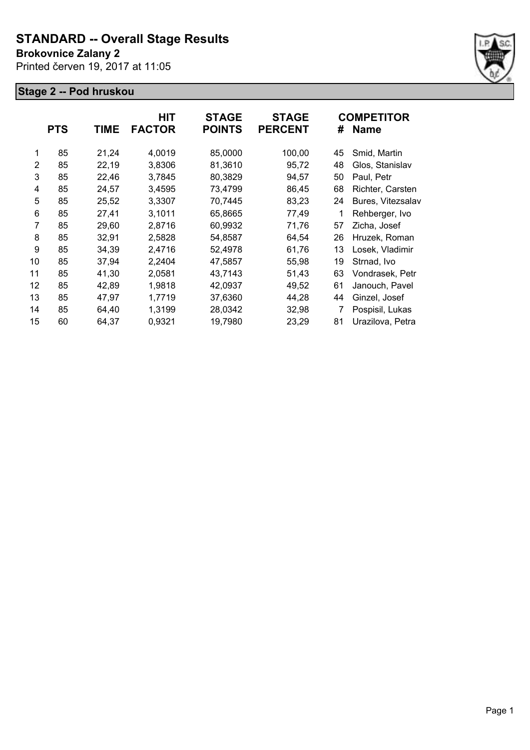#### **Brokovnice Zalany 2**

Printed červen 19, 2017 at 11:05



|                | <b>PTS</b> | <b>TIME</b> | HIT<br><b>FACTOR</b> | <b>STAGE</b><br><b>POINTS</b> | <b>STAGE</b><br><b>PERCENT</b> | #  | <b>COMPETITOR</b><br><b>Name</b> |
|----------------|------------|-------------|----------------------|-------------------------------|--------------------------------|----|----------------------------------|
| 1              | 85         | 21,24       | 4,0019               | 85,0000                       | 100,00                         | 45 | Smid, Martin                     |
| $\overline{2}$ | 85         | 22,19       | 3,8306               | 81,3610                       | 95,72                          | 48 | Glos, Stanislav                  |
| 3              | 85         | 22,46       | 3,7845               | 80,3829                       | 94,57                          | 50 | Paul, Petr                       |
| 4              | 85         | 24,57       | 3,4595               | 73,4799                       | 86,45                          | 68 | Richter, Carsten                 |
| 5              | 85         | 25,52       | 3,3307               | 70,7445                       | 83,23                          | 24 | Bures, Vitezsalav                |
| 6              | 85         | 27,41       | 3,1011               | 65,8665                       | 77,49                          | 1  | Rehberger, Ivo                   |
| 7              | 85         | 29,60       | 2,8716               | 60,9932                       | 71,76                          | 57 | Zicha, Josef                     |
| 8              | 85         | 32,91       | 2,5828               | 54,8587                       | 64,54                          | 26 | Hruzek, Roman                    |
| 9              | 85         | 34,39       | 2,4716               | 52,4978                       | 61,76                          | 13 | Losek, Vladimir                  |
| 10             | 85         | 37,94       | 2,2404               | 47,5857                       | 55,98                          | 19 | Strnad, Ivo                      |
| 11             | 85         | 41,30       | 2,0581               | 43,7143                       | 51,43                          | 63 | Vondrasek, Petr                  |
| 12             | 85         | 42,89       | 1,9818               | 42,0937                       | 49,52                          | 61 | Janouch, Pavel                   |
| 13             | 85         | 47,97       | 1,7719               | 37,6360                       | 44,28                          | 44 | Ginzel, Josef                    |
| 14             | 85         | 64,40       | 1,3199               | 28,0342                       | 32,98                          | 7  | Pospisil, Lukas                  |
| 15             | 60         | 64,37       | 0,9321               | 19,7980                       | 23,29                          | 81 | Urazilova, Petra                 |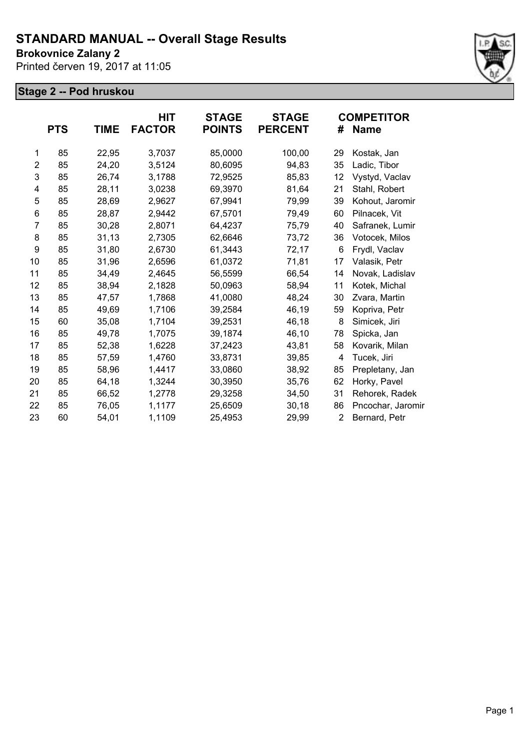**Brokovnice Zalany 2**

Printed červen 19, 2017 at 11:05



|                | <b>PTS</b> | <b>TIME</b> | HIT<br><b>FACTOR</b> | <b>STAGE</b><br><b>POINTS</b> | <b>STAGE</b><br><b>PERCENT</b> | #              | <b>COMPETITOR</b><br><b>Name</b> |
|----------------|------------|-------------|----------------------|-------------------------------|--------------------------------|----------------|----------------------------------|
|                |            |             |                      |                               |                                |                |                                  |
| 1              | 85         | 22,95       | 3,7037               | 85,0000                       | 100,00                         | 29             | Kostak, Jan                      |
| $\overline{2}$ | 85         | 24,20       | 3,5124               | 80,6095                       | 94,83                          | 35             | Ladic, Tibor                     |
| 3              | 85         | 26,74       | 3,1788               | 72,9525                       | 85,83                          | 12             | Vystyd, Vaclav                   |
| 4              | 85         | 28,11       | 3,0238               | 69,3970                       | 81,64                          | 21             | Stahl, Robert                    |
| 5              | 85         | 28,69       | 2,9627               | 67,9941                       | 79,99                          | 39             | Kohout, Jaromir                  |
| 6              | 85         | 28,87       | 2,9442               | 67,5701                       | 79,49                          | 60             | Pilnacek, Vit                    |
| 7              | 85         | 30,28       | 2,8071               | 64,4237                       | 75,79                          | 40             | Safranek, Lumir                  |
| 8              | 85         | 31,13       | 2,7305               | 62,6646                       | 73,72                          | 36             | Votocek, Milos                   |
| 9              | 85         | 31,80       | 2,6730               | 61,3443                       | 72,17                          | 6              | Frydl, Vaclav                    |
| 10             | 85         | 31,96       | 2,6596               | 61,0372                       | 71,81                          | 17             | Valasik, Petr                    |
| 11             | 85         | 34,49       | 2,4645               | 56,5599                       | 66,54                          | 14             | Novak, Ladislav                  |
| 12             | 85         | 38,94       | 2,1828               | 50,0963                       | 58,94                          | 11             | Kotek, Michal                    |
| 13             | 85         | 47,57       | 1,7868               | 41,0080                       | 48,24                          | 30             | Zvara, Martin                    |
| 14             | 85         | 49,69       | 1,7106               | 39,2584                       | 46,19                          | 59             | Kopriva, Petr                    |
| 15             | 60         | 35,08       | 1,7104               | 39,2531                       | 46,18                          | 8              | Simicek, Jiri                    |
| 16             | 85         | 49,78       | 1,7075               | 39,1874                       | 46,10                          | 78             | Spicka, Jan                      |
| 17             | 85         | 52,38       | 1,6228               | 37,2423                       | 43,81                          | 58             | Kovarik, Milan                   |
| 18             | 85         | 57,59       | 1,4760               | 33,8731                       | 39,85                          | 4              | Tucek, Jiri                      |
| 19             | 85         | 58,96       | 1,4417               | 33,0860                       | 38,92                          | 85             | Prepletany, Jan                  |
| 20             | 85         | 64,18       | 1,3244               | 30,3950                       | 35,76                          | 62             | Horky, Pavel                     |
| 21             | 85         | 66,52       | 1,2778               | 29,3258                       | 34,50                          | 31             | Rehorek, Radek                   |
| 22             | 85         | 76,05       | 1,1177               | 25,6509                       | 30, 18                         | 86             | Pncochar, Jaromin                |
| 23             | 60         | 54,01       | 1,1109               | 25,4953                       | 29,99                          | $\overline{2}$ | Bernard, Petr                    |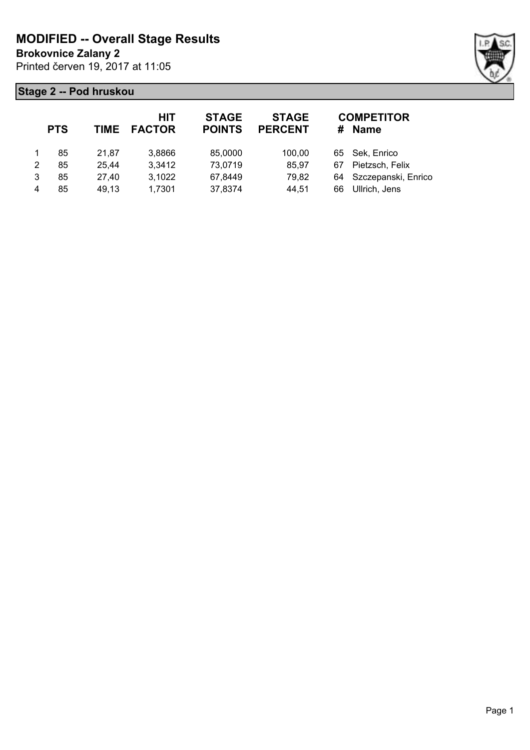**Brokovnice Zalany 2**

Printed červen 19, 2017 at 11:05



|   | <b>PTS</b> | <b>TIME</b> | HIT<br><b>FACTOR</b> | <b>STAGE</b><br><b>POINTS</b> | <b>STAGE</b><br><b>PERCENT</b> |    | <b>COMPETITOR</b><br># Name |
|---|------------|-------------|----------------------|-------------------------------|--------------------------------|----|-----------------------------|
|   | 85         | 21.87       | 3,8866               | 85,0000                       | 100,00                         |    | 65 Sek, Enrico              |
| 2 | 85         | 25,44       | 3,3412               | 73,0719                       | 85,97                          | 67 | Pietzsch, Felix             |
| 3 | 85         | 27,40       | 3,1022               | 67,8449                       | 79,82                          |    | 64 Szczepanski, Enrico      |
| 4 | 85         | 49,13       | 1,7301               | 37,8374                       | 44,51                          | 66 | Ullrich, Jens               |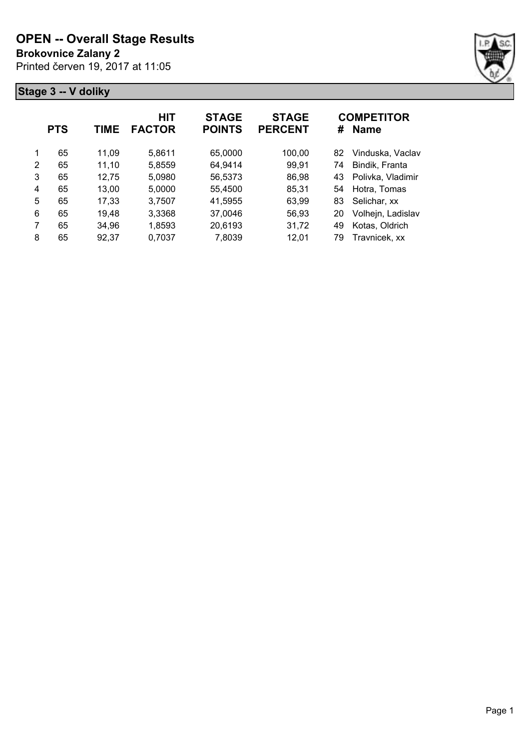**Brokovnice Zalany 2**

Printed červen 19, 2017 at 11:05



|   | <b>PTS</b> | TIME  | HIT<br><b>FACTOR</b> | <b>STAGE</b><br><b>POINTS</b> | <b>STAGE</b><br><b>PERCENT</b> | #  | <b>COMPETITOR</b><br><b>Name</b> |
|---|------------|-------|----------------------|-------------------------------|--------------------------------|----|----------------------------------|
| 1 | 65         | 11,09 | 5,8611               | 65,0000                       | 100,00                         | 82 | Vinduska, Vaclav                 |
| 2 | 65         | 11,10 | 5,8559               | 64,9414                       | 99,91                          | 74 | Bindik, Franta                   |
| 3 | 65         | 12,75 | 5,0980               | 56,5373                       | 86,98                          | 43 | Polivka, Vladimir                |
| 4 | 65         | 13,00 | 5,0000               | 55,4500                       | 85,31                          | 54 | Hotra, Tomas                     |
| 5 | 65         | 17,33 | 3,7507               | 41,5955                       | 63,99                          | 83 | Selichar, xx                     |
| 6 | 65         | 19,48 | 3,3368               | 37,0046                       | 56,93                          | 20 | Volhejn, Ladislav                |
| 7 | 65         | 34,96 | 1,8593               | 20,6193                       | 31,72                          | 49 | Kotas, Oldrich                   |
| 8 | 65         | 92,37 | 0,7037               | 7,8039                        | 12,01                          | 79 | Travnicek, xx                    |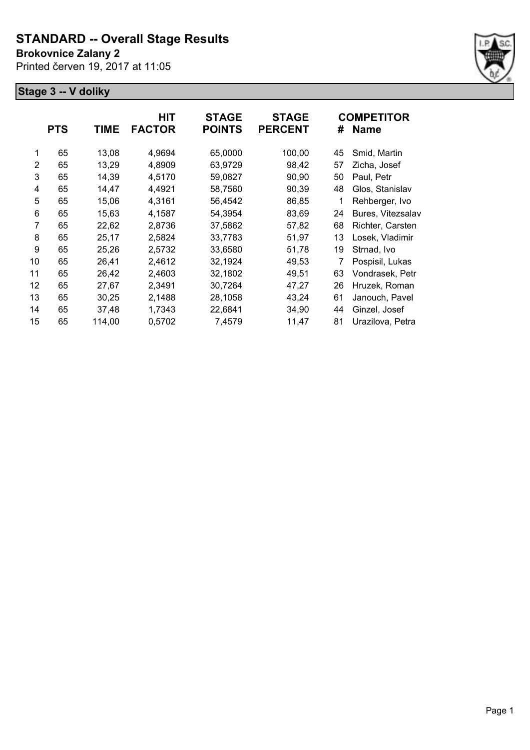### **Brokovnice Zalany 2**

Printed červen 19, 2017 at 11:05



|    | <b>PTS</b> | TIME   | HIT<br><b>FACTOR</b> | <b>STAGE</b><br><b>POINTS</b> | <b>STAGE</b><br><b>PERCENT</b> | #  | <b>COMPETITOR</b><br><b>Name</b> |
|----|------------|--------|----------------------|-------------------------------|--------------------------------|----|----------------------------------|
| 1  | 65         | 13,08  | 4,9694               | 65,0000                       | 100,00                         | 45 | Smid, Martin                     |
| 2  | 65         | 13,29  | 4,8909               | 63,9729                       | 98,42                          | 57 | Zicha, Josef                     |
| 3  | 65         | 14,39  | 4,5170               | 59,0827                       | 90,90                          | 50 | Paul, Petr                       |
| 4  | 65         | 14,47  | 4,4921               | 58,7560                       | 90,39                          | 48 | Glos, Stanislav                  |
| 5  | 65         | 15,06  | 4,3161               | 56,4542                       | 86,85                          | 1  | Rehberger, Ivo                   |
| 6  | 65         | 15,63  | 4,1587               | 54,3954                       | 83,69                          | 24 | Bures, Vitezsalav                |
| 7  | 65         | 22,62  | 2,8736               | 37,5862                       | 57,82                          | 68 | Richter, Carsten                 |
| 8  | 65         | 25,17  | 2,5824               | 33,7783                       | 51,97                          | 13 | Losek, Vladimir                  |
| 9  | 65         | 25,26  | 2,5732               | 33,6580                       | 51,78                          | 19 | Strnad, Ivo                      |
| 10 | 65         | 26,41  | 2,4612               | 32,1924                       | 49,53                          | 7  | Pospisil, Lukas                  |
| 11 | 65         | 26,42  | 2,4603               | 32,1802                       | 49,51                          | 63 | Vondrasek, Petr                  |
| 12 | 65         | 27,67  | 2,3491               | 30,7264                       | 47,27                          | 26 | Hruzek, Roman                    |
| 13 | 65         | 30,25  | 2,1488               | 28,1058                       | 43,24                          | 61 | Janouch, Pavel                   |
| 14 | 65         | 37,48  | 1,7343               | 22,6841                       | 34,90                          | 44 | Ginzel, Josef                    |
| 15 | 65         | 114,00 | 0,5702               | 7,4579                        | 11,47                          | 81 | Urazilova, Petra                 |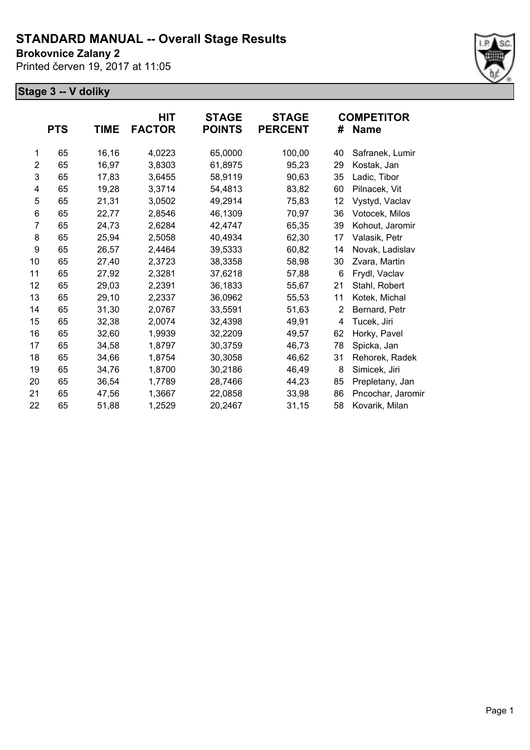**Brokovnice Zalany 2**

Printed červen 19, 2017 at 11:05



|                | <b>PTS</b> | <b>TIME</b> | HIT<br><b>FACTOR</b> | <b>STAGE</b><br><b>POINTS</b> | <b>STAGE</b><br><b>PERCENT</b> | #  | <b>COMPETITOR</b><br><b>Name</b> |
|----------------|------------|-------------|----------------------|-------------------------------|--------------------------------|----|----------------------------------|
| 1              | 65         | 16,16       | 4,0223               | 65,0000                       | 100,00                         | 40 | Safranek, Lumir                  |
| $\overline{2}$ | 65         | 16,97       | 3,8303               | 61,8975                       | 95,23                          | 29 | Kostak, Jan                      |
| 3              | 65         | 17,83       | 3,6455               | 58,9119                       | 90,63                          | 35 | Ladic, Tibor                     |
| 4              | 65         | 19,28       | 3,3714               | 54,4813                       | 83,82                          | 60 | Pilnacek, Vit                    |
| 5              | 65         | 21,31       | 3,0502               | 49,2914                       | 75,83                          | 12 | Vystyd, Vaclav                   |
| 6              | 65         | 22,77       | 2,8546               | 46,1309                       | 70,97                          | 36 | Votocek, Milos                   |
| 7              | 65         | 24,73       | 2,6284               | 42,4747                       | 65,35                          | 39 | Kohout, Jaromir                  |
| 8              | 65         | 25,94       | 2,5058               | 40,4934                       | 62,30                          | 17 | Valasik, Petr                    |
| 9              | 65         | 26,57       | 2,4464               | 39,5333                       | 60,82                          | 14 | Novak, Ladislav                  |
| 10             | 65         | 27,40       | 2,3723               | 38,3358                       | 58,98                          | 30 | Zvara, Martin                    |
| 11             | 65         | 27,92       | 2,3281               | 37,6218                       | 57,88                          | 6  | Frydl, Vaclav                    |
| 12             | 65         | 29,03       | 2,2391               | 36,1833                       | 55,67                          | 21 | Stahl, Robert                    |
| 13             | 65         | 29,10       | 2,2337               | 36,0962                       | 55,53                          | 11 | Kotek, Michal                    |
| 14             | 65         | 31,30       | 2,0767               | 33,5591                       | 51,63                          | 2  | Bernard, Petr                    |
| 15             | 65         | 32,38       | 2,0074               | 32,4398                       | 49,91                          | 4  | Tucek, Jiri                      |
| 16             | 65         | 32,60       | 1,9939               | 32,2209                       | 49,57                          | 62 | Horky, Pavel                     |
| 17             | 65         | 34,58       | 1,8797               | 30,3759                       | 46,73                          | 78 | Spicka, Jan                      |
| 18             | 65         | 34,66       | 1,8754               | 30,3058                       | 46,62                          | 31 | Rehorek, Radek                   |
| 19             | 65         | 34,76       | 1,8700               | 30,2186                       | 46,49                          | 8  | Simicek, Jiri                    |
| 20             | 65         | 36,54       | 1,7789               | 28,7466                       | 44,23                          | 85 | Prepletany, Jan                  |
| 21             | 65         | 47,56       | 1,3667               | 22,0858                       | 33,98                          | 86 | Pncochar, Jaromin                |
| 22             | 65         | 51,88       | 1,2529               | 20,2467                       | 31,15                          | 58 | Kovarik, Milan                   |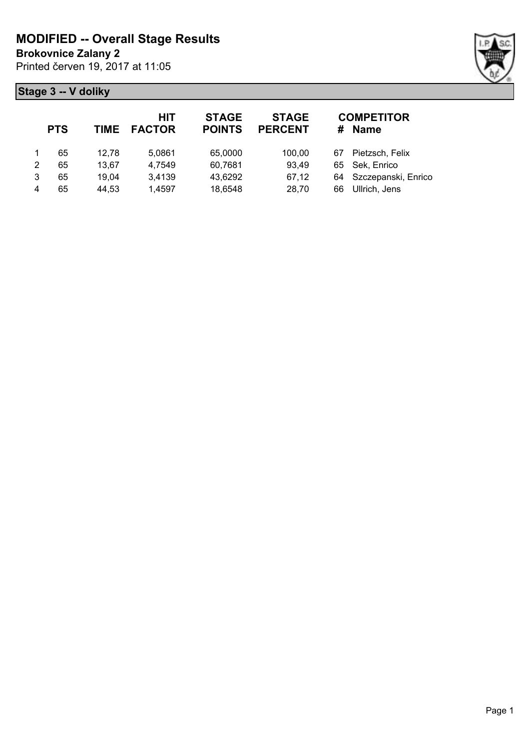**Brokovnice Zalany 2**

Printed červen 19, 2017 at 11:05



|   | <b>PTS</b> | <b>TIME</b> | HIT<br><b>FACTOR</b> | <b>STAGE</b><br><b>POINTS</b> | <b>STAGE</b><br><b>PERCENT</b> |    | <b>COMPETITOR</b><br># Name |
|---|------------|-------------|----------------------|-------------------------------|--------------------------------|----|-----------------------------|
|   | 65         | 12.78       | 5,0861               | 65,0000                       | 100.00                         | 67 | Pietzsch, Felix             |
| 2 | 65         | 13.67       | 4,7549               | 60,7681                       | 93,49                          |    | 65 Sek, Enrico              |
| 3 | 65         | 19.04       | 3,4139               | 43,6292                       | 67,12                          |    | 64 Szczepanski, Enrico      |
| 4 | 65         | 44,53       | 1,4597               | 18,6548                       | 28,70                          | 66 | Ullrich, Jens               |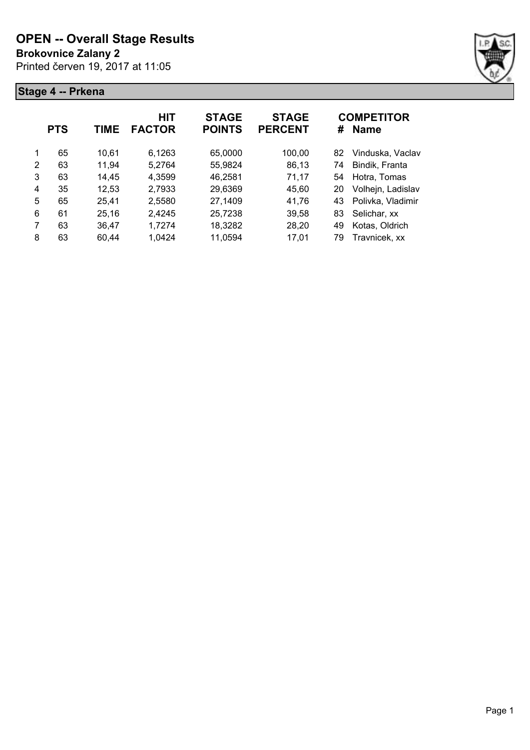**Brokovnice Zalany 2**

Printed červen 19, 2017 at 11:05



|   | <b>PTS</b> | TIME  | <b>HIT</b><br><b>FACTOR</b> | <b>STAGE</b><br><b>POINTS</b> | <b>STAGE</b><br><b>PERCENT</b> | #   | <b>COMPETITOR</b><br><b>Name</b> |
|---|------------|-------|-----------------------------|-------------------------------|--------------------------------|-----|----------------------------------|
| 1 | 65         | 10,61 | 6,1263                      | 65,0000                       | 100,00                         | 82. | Vinduska, Vaclav                 |
| 2 | 63         | 11,94 | 5.2764                      | 55,9824                       | 86,13                          | 74  | Bindik, Franta                   |
| 3 | 63         | 14,45 | 4,3599                      | 46,2581                       | 71,17                          | 54  | Hotra, Tomas                     |
| 4 | 35         | 12,53 | 2,7933                      | 29,6369                       | 45,60                          | 20  | Volhejn, Ladislav                |
| 5 | 65         | 25,41 | 2,5580                      | 27,1409                       | 41,76                          | 43  | Polivka, Vladimir                |
| 6 | 61         | 25,16 | 2,4245                      | 25,7238                       | 39,58                          | 83  | Selichar, xx                     |
| 7 | 63         | 36,47 | 1,7274                      | 18,3282                       | 28,20                          | 49  | Kotas, Oldrich                   |
| 8 | 63         | 60.44 | 1.0424                      | 11,0594                       | 17,01                          | 79  | Travnicek, xx                    |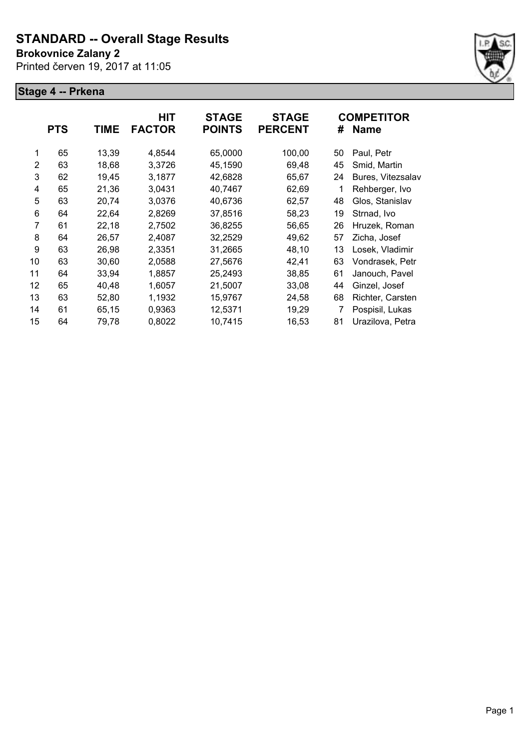### **Brokovnice Zalany 2**

Printed červen 19, 2017 at 11:05



|    | <b>PTS</b> | <b>TIME</b> | <b>HIT</b><br><b>FACTOR</b> | <b>STAGE</b><br><b>POINTS</b> | <b>STAGE</b><br><b>PERCENT</b> | #  | <b>COMPETITOR</b><br><b>Name</b> |
|----|------------|-------------|-----------------------------|-------------------------------|--------------------------------|----|----------------------------------|
| 1  | 65         | 13,39       | 4,8544                      | 65,0000                       | 100,00                         | 50 | Paul, Petr                       |
| 2  | 63         | 18,68       | 3,3726                      | 45,1590                       | 69,48                          | 45 | Smid, Martin                     |
| 3  | 62         | 19,45       | 3,1877                      | 42,6828                       | 65,67                          | 24 | Bures, Vitezsalav                |
| 4  | 65         | 21,36       | 3,0431                      | 40,7467                       | 62,69                          | 1  | Rehberger, Ivo                   |
| 5  | 63         | 20,74       | 3,0376                      | 40,6736                       | 62,57                          | 48 | Glos, Stanislav                  |
| 6  | 64         | 22,64       | 2,8269                      | 37,8516                       | 58,23                          | 19 | Strnad, Ivo                      |
| 7  | 61         | 22,18       | 2,7502                      | 36,8255                       | 56,65                          | 26 | Hruzek, Roman                    |
| 8  | 64         | 26,57       | 2,4087                      | 32,2529                       | 49,62                          | 57 | Zicha, Josef                     |
| 9  | 63         | 26,98       | 2,3351                      | 31,2665                       | 48,10                          | 13 | Losek, Vladimir                  |
| 10 | 63         | 30,60       | 2,0588                      | 27,5676                       | 42,41                          | 63 | Vondrasek, Petr                  |
| 11 | 64         | 33,94       | 1,8857                      | 25,2493                       | 38,85                          | 61 | Janouch, Pavel                   |
| 12 | 65         | 40,48       | 1,6057                      | 21,5007                       | 33,08                          | 44 | Ginzel, Josef                    |
| 13 | 63         | 52,80       | 1,1932                      | 15,9767                       | 24,58                          | 68 | Richter, Carsten                 |
| 14 | 61         | 65,15       | 0,9363                      | 12,5371                       | 19,29                          |    | Pospisil, Lukas                  |
| 15 | 64         | 79,78       | 0,8022                      | 10,7415                       | 16,53                          | 81 | Urazilova, Petra                 |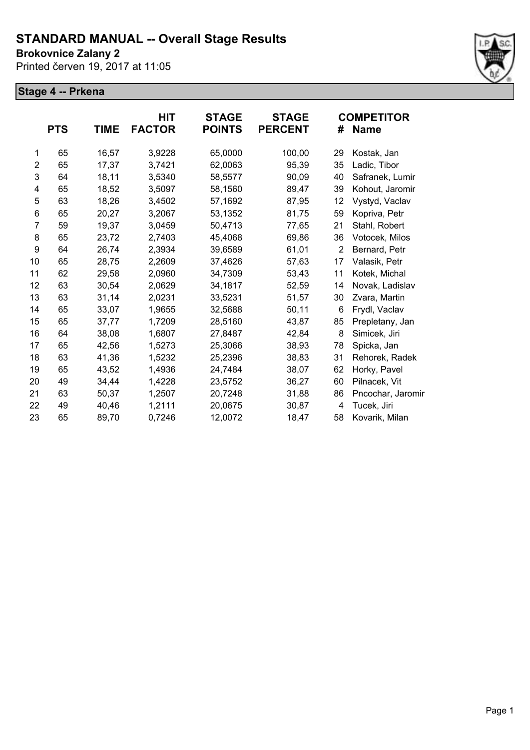**Brokovnice Zalany 2**

Printed červen 19, 2017 at 11:05



|                | <b>PTS</b> | TIME  | HIT<br><b>FACTOR</b> | <b>STAGE</b><br><b>POINTS</b> | <b>STAGE</b><br><b>PERCENT</b> | #  | <b>COMPETITOR</b><br><b>Name</b> |
|----------------|------------|-------|----------------------|-------------------------------|--------------------------------|----|----------------------------------|
|                |            |       |                      |                               |                                |    |                                  |
| 1              | 65         | 16,57 | 3,9228               | 65,0000                       | 100,00                         | 29 | Kostak, Jan                      |
| $\overline{2}$ | 65         | 17,37 | 3,7421               | 62,0063                       | 95,39                          | 35 | Ladic, Tibor                     |
| 3              | 64         | 18,11 | 3,5340               | 58,5577                       | 90,09                          | 40 | Safranek, Lumir                  |
| 4              | 65         | 18,52 | 3,5097               | 58,1560                       | 89,47                          | 39 | Kohout, Jaromir                  |
| 5              | 63         | 18,26 | 3,4502               | 57,1692                       | 87,95                          | 12 | Vystyd, Vaclav                   |
| 6              | 65         | 20,27 | 3,2067               | 53,1352                       | 81,75                          | 59 | Kopriva, Petr                    |
| $\overline{7}$ | 59         | 19,37 | 3,0459               | 50,4713                       | 77,65                          | 21 | Stahl, Robert                    |
| 8              | 65         | 23,72 | 2,7403               | 45,4068                       | 69,86                          | 36 | Votocek, Milos                   |
| 9              | 64         | 26,74 | 2,3934               | 39,6589                       | 61,01                          | 2  | Bernard, Petr                    |
| 10             | 65         | 28,75 | 2,2609               | 37,4626                       | 57,63                          | 17 | Valasik, Petr                    |
| 11             | 62         | 29,58 | 2,0960               | 34,7309                       | 53,43                          | 11 | Kotek, Michal                    |
| 12             | 63         | 30,54 | 2,0629               | 34,1817                       | 52,59                          | 14 | Novak, Ladislav                  |
| 13             | 63         | 31,14 | 2,0231               | 33,5231                       | 51,57                          | 30 | Zvara, Martin                    |
| 14             | 65         | 33,07 | 1,9655               | 32,5688                       | 50,11                          | 6  | Frydl, Vaclav                    |
| 15             | 65         | 37,77 | 1,7209               | 28,5160                       | 43,87                          | 85 | Prepletany, Jan                  |
| 16             | 64         | 38,08 | 1,6807               | 27,8487                       | 42,84                          | 8  | Simicek, Jiri                    |
| 17             | 65         | 42,56 | 1,5273               | 25,3066                       | 38,93                          | 78 | Spicka, Jan                      |
| 18             | 63         | 41,36 | 1,5232               | 25,2396                       | 38,83                          | 31 | Rehorek, Radek                   |
| 19             | 65         | 43,52 | 1,4936               | 24,7484                       | 38,07                          | 62 | Horky, Pavel                     |
| 20             | 49         | 34,44 | 1,4228               | 23,5752                       | 36,27                          | 60 | Pilnacek, Vit                    |
| 21             | 63         | 50,37 | 1,2507               | 20,7248                       | 31,88                          | 86 | Pncochar, Jaromir                |
| 22             | 49         | 40,46 | 1,2111               | 20,0675                       | 30,87                          | 4  | Tucek, Jiri                      |
| 23             | 65         | 89,70 | 0,7246               | 12,0072                       | 18,47                          | 58 | Kovarik, Milan                   |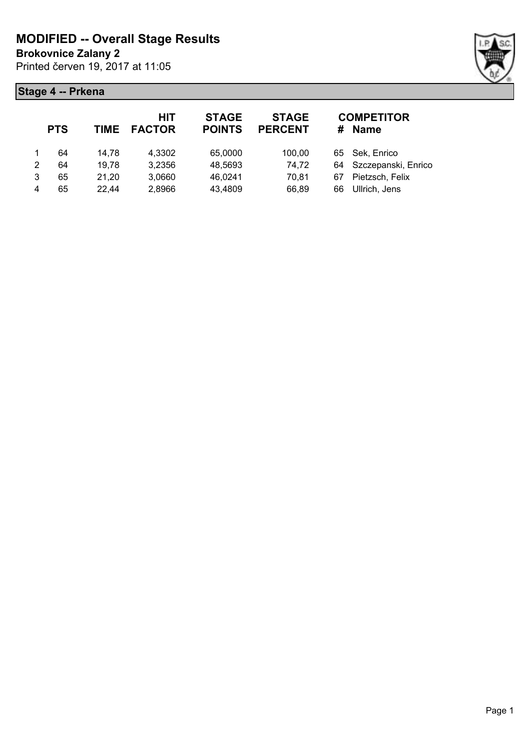**Brokovnice Zalany 2**

Printed červen 19, 2017 at 11:05



|   | <b>PTS</b> | TIME  | HIT<br><b>FACTOR</b> | <b>STAGE</b><br><b>POINTS</b> | <b>STAGE</b><br><b>PERCENT</b> |    | <b>COMPETITOR</b><br># Name |
|---|------------|-------|----------------------|-------------------------------|--------------------------------|----|-----------------------------|
|   | 64         | 14.78 | 4,3302               | 65,0000                       | 100.00                         |    | 65 Sek, Enrico              |
| 2 | 64         | 19,78 | 3,2356               | 48,5693                       | 74,72                          |    | 64 Szczepanski, Enrico      |
| 3 | 65         | 21,20 | 3,0660               | 46,0241                       | 70,81                          | 67 | Pietzsch, Felix             |
| 4 | 65         | 22,44 | 2,8966               | 43,4809                       | 66,89                          | 66 | Ullrich, Jens               |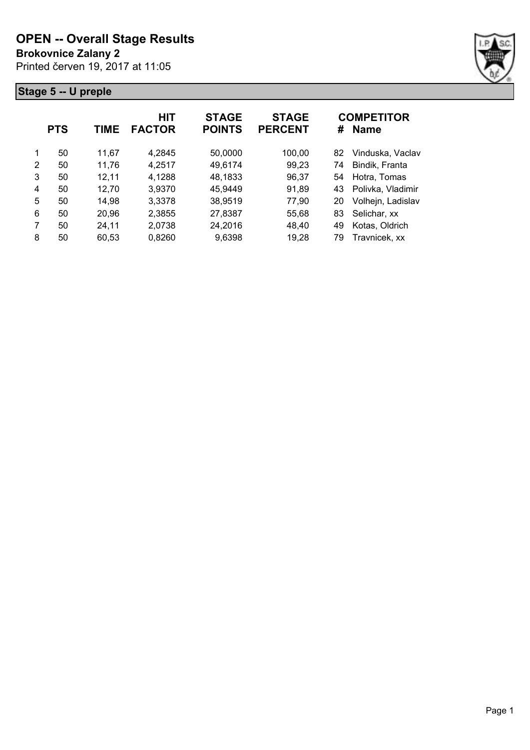**Brokovnice Zalany 2**

Printed červen 19, 2017 at 11:05



|   | <b>PTS</b> | TIME  | <b>HIT</b><br><b>FACTOR</b> | <b>STAGE</b><br><b>POINTS</b> | <b>STAGE</b><br><b>PERCENT</b> | #   | <b>COMPETITOR</b><br><b>Name</b> |
|---|------------|-------|-----------------------------|-------------------------------|--------------------------------|-----|----------------------------------|
| 1 | 50         | 11,67 | 4,2845                      | 50,0000                       | 100,00                         | 82. | Vinduska, Vaclav                 |
| 2 | 50         | 11,76 | 4,2517                      | 49,6174                       | 99,23                          | 74  | Bindik, Franta                   |
| 3 | 50         | 12,11 | 4,1288                      | 48,1833                       | 96,37                          | 54  | Hotra, Tomas                     |
| 4 | 50         | 12,70 | 3,9370                      | 45,9449                       | 91,89                          | 43  | Polivka, Vladimir                |
| 5 | 50         | 14,98 | 3,3378                      | 38,9519                       | 77,90                          | 20  | Volhejn, Ladislav                |
| 6 | 50         | 20,96 | 2,3855                      | 27,8387                       | 55,68                          | 83  | Selichar, xx                     |
| 7 | 50         | 24,11 | 2,0738                      | 24,2016                       | 48,40                          | 49  | Kotas, Oldrich                   |
| 8 | 50         | 60.53 | 0,8260                      | 9,6398                        | 19,28                          | 79  | Travnicek, xx                    |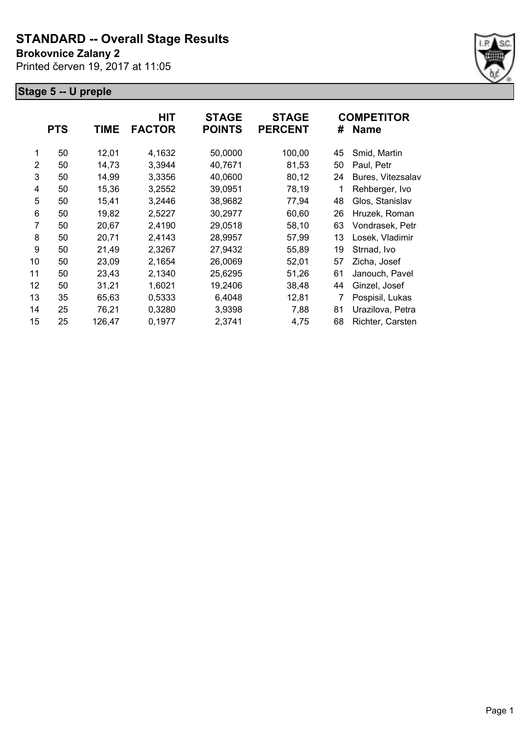#### **Brokovnice Zalany 2**

Printed červen 19, 2017 at 11:05



|                | <b>PTS</b> | <b>TIME</b> | HIT<br><b>FACTOR</b> | <b>STAGE</b><br><b>POINTS</b> | <b>STAGE</b><br><b>PERCENT</b> | #  | <b>COMPETITOR</b><br><b>Name</b> |
|----------------|------------|-------------|----------------------|-------------------------------|--------------------------------|----|----------------------------------|
| 1              | 50         | 12,01       | 4,1632               | 50,0000                       | 100,00                         | 45 | Smid, Martin                     |
| $\overline{2}$ | 50         | 14,73       | 3,3944               | 40,7671                       | 81,53                          | 50 | Paul, Petr                       |
| 3              | 50         | 14,99       | 3,3356               | 40,0600                       | 80,12                          | 24 | Bures, Vitezsalav                |
| 4              | 50         | 15,36       | 3,2552               | 39,0951                       | 78,19                          | 1  | Rehberger, Ivo                   |
| 5              | 50         | 15,41       | 3,2446               | 38,9682                       | 77,94                          | 48 | Glos, Stanislav                  |
| 6              | 50         | 19,82       | 2,5227               | 30,2977                       | 60,60                          | 26 | Hruzek, Roman                    |
| 7              | 50         | 20,67       | 2,4190               | 29,0518                       | 58,10                          | 63 | Vondrasek, Petr                  |
| 8              | 50         | 20,71       | 2,4143               | 28,9957                       | 57,99                          | 13 | Losek, Vladimir                  |
| 9              | 50         | 21,49       | 2,3267               | 27,9432                       | 55,89                          | 19 | Strnad, Ivo                      |
| 10             | 50         | 23,09       | 2,1654               | 26,0069                       | 52,01                          | 57 | Zicha, Josef                     |
| 11             | 50         | 23,43       | 2,1340               | 25,6295                       | 51,26                          | 61 | Janouch, Pavel                   |
| 12             | 50         | 31,21       | 1,6021               | 19,2406                       | 38,48                          | 44 | Ginzel, Josef                    |
| 13             | 35         | 65,63       | 0,5333               | 6,4048                        | 12,81                          | 7  | Pospisil, Lukas                  |
| 14             | 25         | 76,21       | 0,3280               | 3,9398                        | 7,88                           | 81 | Urazilova, Petra                 |
| 15             | 25         | 126,47      | 0,1977               | 2,3741                        | 4,75                           | 68 | Richter, Carsten                 |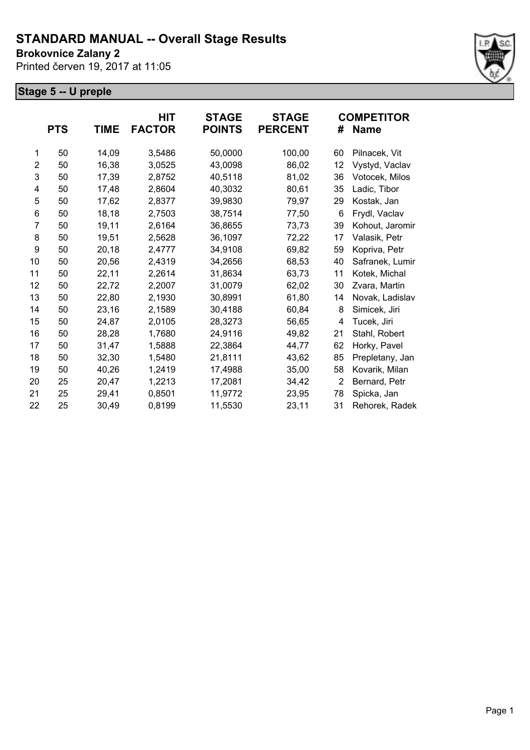**Brokovnice Zalany 2**

Printed červen 19, 2017 at 11:05



|                | <b>PTS</b> | <b>TIME</b> | HIT<br><b>FACTOR</b> | <b>STAGE</b><br><b>POINTS</b> | <b>STAGE</b><br><b>PERCENT</b> | #  | <b>COMPETITOR</b><br><b>Name</b> |
|----------------|------------|-------------|----------------------|-------------------------------|--------------------------------|----|----------------------------------|
| 1              | 50         | 14,09       | 3,5486               | 50,0000                       | 100,00                         | 60 | Pilnacek, Vit                    |
| 2              | 50         | 16,38       | 3,0525               | 43,0098                       | 86,02                          | 12 | Vystyd, Vaclav                   |
| 3              | 50         | 17,39       | 2,8752               | 40,5118                       | 81,02                          | 36 | Votocek, Milos                   |
| 4              | 50         | 17,48       | 2,8604               | 40,3032                       | 80,61                          | 35 | Ladic, Tibor                     |
| 5              | 50         | 17,62       | 2,8377               | 39,9830                       | 79,97                          | 29 | Kostak, Jan                      |
| 6              | 50         | 18,18       | 2,7503               | 38,7514                       | 77,50                          | 6  | Frydl, Vaclav                    |
| $\overline{7}$ | 50         | 19,11       | 2,6164               | 36,8655                       | 73,73                          | 39 | Kohout, Jaromir                  |
| 8              | 50         | 19,51       | 2,5628               | 36,1097                       | 72,22                          | 17 | Valasik, Petr                    |
| 9              | 50         | 20,18       | 2,4777               | 34,9108                       | 69,82                          | 59 | Kopriva, Petr                    |
| 10             | 50         | 20,56       | 2,4319               | 34,2656                       | 68,53                          | 40 | Safranek, Lumir                  |
| 11             | 50         | 22,11       | 2,2614               | 31,8634                       | 63,73                          | 11 | Kotek, Michal                    |
| 12             | 50         | 22,72       | 2,2007               | 31,0079                       | 62,02                          | 30 | Zvara, Martin                    |
| 13             | 50         | 22,80       | 2,1930               | 30,8991                       | 61,80                          | 14 | Novak, Ladislav                  |
| 14             | 50         | 23,16       | 2,1589               | 30,4188                       | 60,84                          | 8  | Simicek, Jiri                    |
| 15             | 50         | 24,87       | 2,0105               | 28,3273                       | 56,65                          | 4  | Tucek, Jiri                      |
| 16             | 50         | 28,28       | 1,7680               | 24,9116                       | 49,82                          | 21 | Stahl, Robert                    |
| 17             | 50         | 31,47       | 1,5888               | 22,3864                       | 44,77                          | 62 | Horky, Pavel                     |
| 18             | 50         | 32,30       | 1,5480               | 21,8111                       | 43,62                          | 85 | Prepletany, Jan                  |
| 19             | 50         | 40,26       | 1,2419               | 17,4988                       | 35,00                          | 58 | Kovarik, Milan                   |
| 20             | 25         | 20,47       | 1,2213               | 17,2081                       | 34,42                          | 2  | Bernard, Petr                    |
| 21             | 25         | 29,41       | 0,8501               | 11,9772                       | 23,95                          | 78 | Spicka, Jan                      |
| 22             | 25         | 30,49       | 0,8199               | 11,5530                       | 23,11                          | 31 | Rehorek, Radek                   |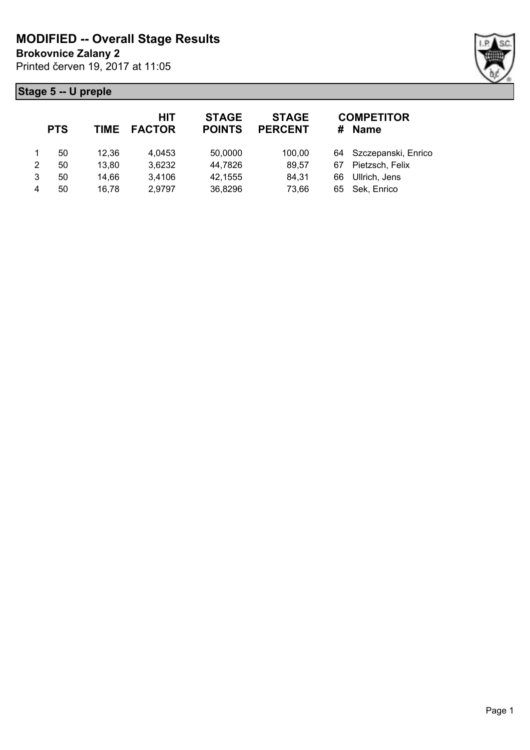**Brokovnice Zalany 2**

Printed červen 19, 2017 at 11:05



|   | <b>PTS</b> | TIME  | HIT<br><b>FACTOR</b> | <b>STAGE</b><br><b>POINTS</b> | <b>STAGE</b><br><b>PERCENT</b> |    | <b>COMPETITOR</b><br># Name |
|---|------------|-------|----------------------|-------------------------------|--------------------------------|----|-----------------------------|
|   | 50         | 12,36 | 4,0453               | 50,0000                       | 100.00                         |    | 64 Szczepanski, Enrico      |
| 2 | 50         | 13,80 | 3,6232               | 44,7826                       | 89,57                          | 67 | Pietzsch, Felix             |
| 3 | 50         | 14,66 | 3,4106               | 42,1555                       | 84,31                          | 66 | Ullrich, Jens               |
| 4 | 50         | 16,78 | 2,9797               | 36,8296                       | 73,66                          |    | 65 Sek, Enrico              |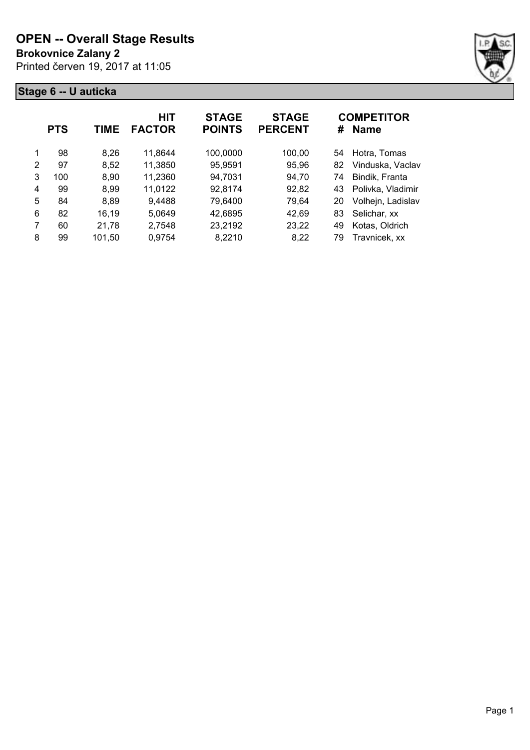**Brokovnice Zalany 2**

Printed červen 19, 2017 at 11:05



|   | <b>PTS</b> | TIME   | <b>HIT</b><br><b>FACTOR</b> | <b>STAGE</b><br><b>POINTS</b> | <b>STAGE</b><br><b>PERCENT</b> | #  | <b>COMPETITOR</b><br><b>Name</b> |
|---|------------|--------|-----------------------------|-------------------------------|--------------------------------|----|----------------------------------|
| 1 | 98         | 8,26   | 11,8644                     | 100,0000                      | 100,00                         | 54 | Hotra, Tomas                     |
| 2 | 97         | 8,52   | 11,3850                     | 95,9591                       | 95,96                          | 82 | Vinduska, Vaclav                 |
| 3 | 100        | 8,90   | 11,2360                     | 94,7031                       | 94,70                          | 74 | Bindik, Franta                   |
| 4 | 99         | 8,99   | 11,0122                     | 92,8174                       | 92,82                          | 43 | Polivka, Vladimir                |
| 5 | 84         | 8,89   | 9,4488                      | 79,6400                       | 79,64                          | 20 | Volhejn, Ladislav                |
| 6 | 82         | 16,19  | 5,0649                      | 42,6895                       | 42,69                          | 83 | Selichar, xx                     |
| 7 | 60         | 21,78  | 2,7548                      | 23,2192                       | 23,22                          | 49 | Kotas, Oldrich                   |
| 8 | 99         | 101,50 | 0,9754                      | 8,2210                        | 8,22                           | 79 | Travnicek, xx                    |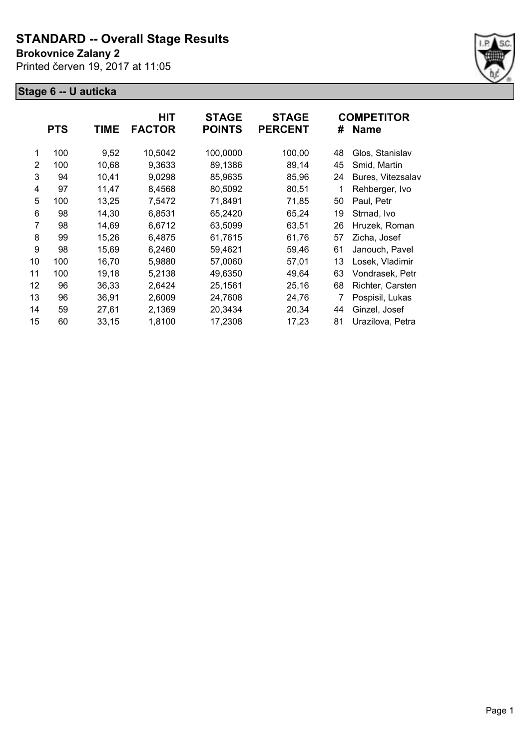#### **Brokovnice Zalany 2**

Printed červen 19, 2017 at 11:05



|    |            |       | <b>HIT</b>    | <b>STAGE</b>  | <b>STAGE</b>   |    | <b>COMPETITOR</b> |
|----|------------|-------|---------------|---------------|----------------|----|-------------------|
|    | <b>PTS</b> | TIME  | <b>FACTOR</b> | <b>POINTS</b> | <b>PERCENT</b> | #  | <b>Name</b>       |
| 1  | 100        | 9,52  | 10,5042       | 100,0000      | 100,00         | 48 | Glos, Stanislav   |
| 2  | 100        | 10,68 | 9,3633        | 89,1386       | 89,14          | 45 | Smid, Martin      |
| 3  | 94         | 10,41 | 9,0298        | 85,9635       | 85,96          | 24 | Bures, Vitezsalav |
| 4  | 97         | 11,47 | 8,4568        | 80,5092       | 80,51          |    | Rehberger, Ivo    |
| 5  | 100        | 13,25 | 7,5472        | 71,8491       | 71,85          | 50 | Paul, Petr        |
| 6  | 98         | 14,30 | 6,8531        | 65,2420       | 65,24          | 19 | Strnad, Ivo       |
| 7  | 98         | 14,69 | 6,6712        | 63,5099       | 63,51          | 26 | Hruzek, Roman     |
| 8  | 99         | 15,26 | 6,4875        | 61,7615       | 61,76          | 57 | Zicha, Josef      |
| 9  | 98         | 15,69 | 6,2460        | 59,4621       | 59,46          | 61 | Janouch, Pavel    |
| 10 | 100        | 16,70 | 5,9880        | 57,0060       | 57,01          | 13 | Losek, Vladimir   |
| 11 | 100        | 19,18 | 5,2138        | 49,6350       | 49,64          | 63 | Vondrasek, Petr   |
| 12 | 96         | 36,33 | 2,6424        | 25,1561       | 25,16          | 68 | Richter, Carsten  |
| 13 | 96         | 36,91 | 2,6009        | 24,7608       | 24,76          | 7  | Pospisil, Lukas   |
| 14 | 59         | 27,61 | 2,1369        | 20,3434       | 20,34          | 44 | Ginzel, Josef     |
| 15 | 60         | 33,15 | 1,8100        | 17,2308       | 17,23          | 81 | Urazilova, Petra  |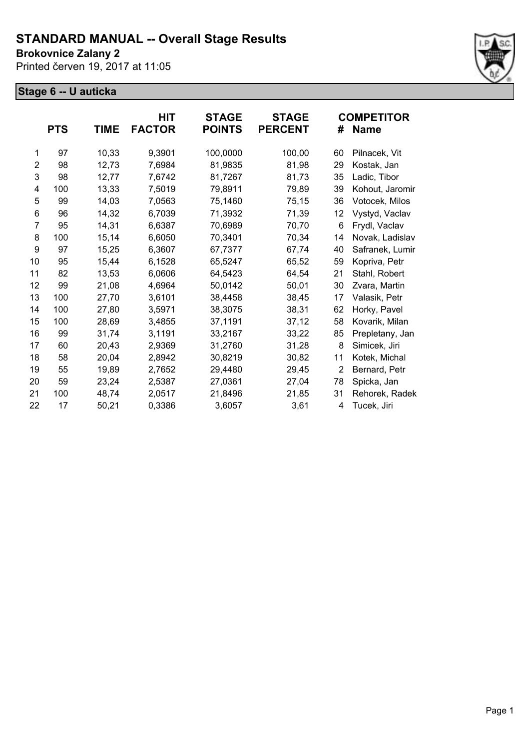**Brokovnice Zalany 2**

Printed červen 19, 2017 at 11:05



|    | <b>PTS</b> | TIME  | HIT<br><b>FACTOR</b> | <b>STAGE</b><br><b>POINTS</b> | <b>STAGE</b><br><b>PERCENT</b> | #              | <b>COMPETITOR</b><br><b>Name</b> |
|----|------------|-------|----------------------|-------------------------------|--------------------------------|----------------|----------------------------------|
| 1  | 97         | 10,33 | 9,3901               | 100,0000                      | 100,00                         | 60             | Pilnacek, Vit                    |
| 2  | 98         | 12,73 | 7,6984               | 81,9835                       | 81,98                          | 29             | Kostak, Jan                      |
| 3  | 98         | 12,77 | 7,6742               | 81,7267                       | 81,73                          | 35             | Ladic, Tibor                     |
| 4  | 100        | 13,33 | 7,5019               | 79,8911                       | 79,89                          | 39             | Kohout, Jaromir                  |
| 5  | 99         | 14,03 | 7,0563               | 75,1460                       | 75,15                          | 36             | Votocek, Milos                   |
| 6  | 96         | 14,32 | 6,7039               | 71,3932                       | 71,39                          | 12             | Vystyd, Vaclav                   |
| 7  | 95         | 14,31 | 6,6387               | 70,6989                       | 70,70                          | 6              | Frydl, Vaclav                    |
| 8  | 100        | 15,14 | 6,6050               | 70,3401                       | 70,34                          | 14             | Novak, Ladislav                  |
| 9  | 97         | 15,25 | 6,3607               | 67,7377                       | 67,74                          | 40             | Safranek, Lumir                  |
| 10 | 95         | 15,44 | 6,1528               | 65,5247                       | 65,52                          | 59             | Kopriva, Petr                    |
| 11 | 82         | 13,53 | 6,0606               | 64,5423                       | 64,54                          | 21             | Stahl, Robert                    |
| 12 | 99         | 21,08 | 4,6964               | 50,0142                       | 50,01                          | 30             | Zvara, Martin                    |
| 13 | 100        | 27,70 | 3,6101               | 38,4458                       | 38,45                          | 17             | Valasik, Petr                    |
| 14 | 100        | 27,80 | 3,5971               | 38,3075                       | 38,31                          | 62             | Horky, Pavel                     |
| 15 | 100        | 28,69 | 3,4855               | 37,1191                       | 37,12                          | 58             | Kovarik, Milan                   |
| 16 | 99         | 31,74 | 3,1191               | 33,2167                       | 33,22                          | 85             | Prepletany, Jan                  |
| 17 | 60         | 20,43 | 2,9369               | 31,2760                       | 31,28                          | 8              | Simicek, Jiri                    |
| 18 | 58         | 20,04 | 2,8942               | 30,8219                       | 30,82                          | 11             | Kotek, Michal                    |
| 19 | 55         | 19,89 | 2,7652               | 29,4480                       | 29,45                          | $\overline{2}$ | Bernard, Petr                    |
| 20 | 59         | 23,24 | 2,5387               | 27,0361                       | 27,04                          | 78             | Spicka, Jan                      |
| 21 | 100        | 48,74 | 2,0517               | 21,8496                       | 21,85                          | 31             | Rehorek, Radek                   |
| 22 | 17         | 50,21 | 0,3386               | 3,6057                        | 3,61                           | 4              | Tucek, Jiri                      |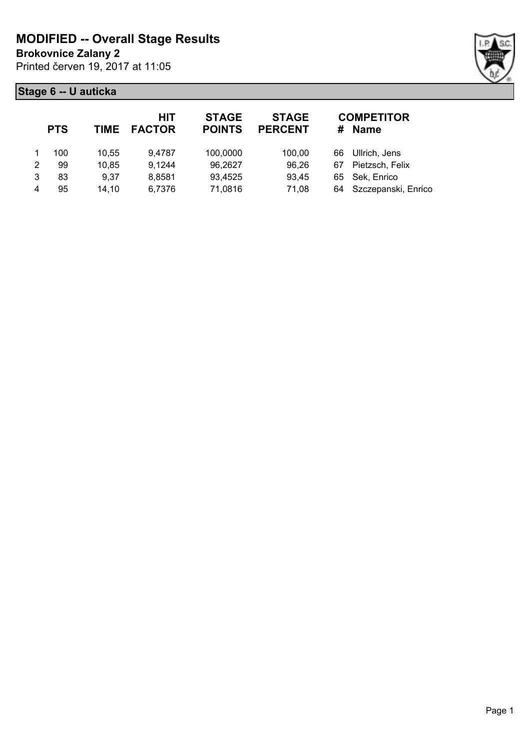**Brokovnice Zalany 2**

Printed červen 19, 2017 at 11:05



|   | <b>PTS</b> | TIME  | HIT<br><b>FACTOR</b> | <b>STAGE</b><br><b>POINTS</b> | <b>STAGE</b><br><b>PERCENT</b> |    | <b>COMPETITOR</b><br># Name |
|---|------------|-------|----------------------|-------------------------------|--------------------------------|----|-----------------------------|
|   | 100        | 10.55 | 9,4787               | 100,0000                      | 100.00                         | 66 | Ullrich, Jens               |
| 2 | 99         | 10,85 | 9,1244               | 96,2627                       | 96,26                          | 67 | Pietzsch, Felix             |
| 3 | 83         | 9,37  | 8,8581               | 93,4525                       | 93,45                          |    | 65 Sek, Enrico              |
| 4 | 95         | 14,10 | 6,7376               | 71,0816                       | 71,08                          |    | 64 Szczepanski, Enrico      |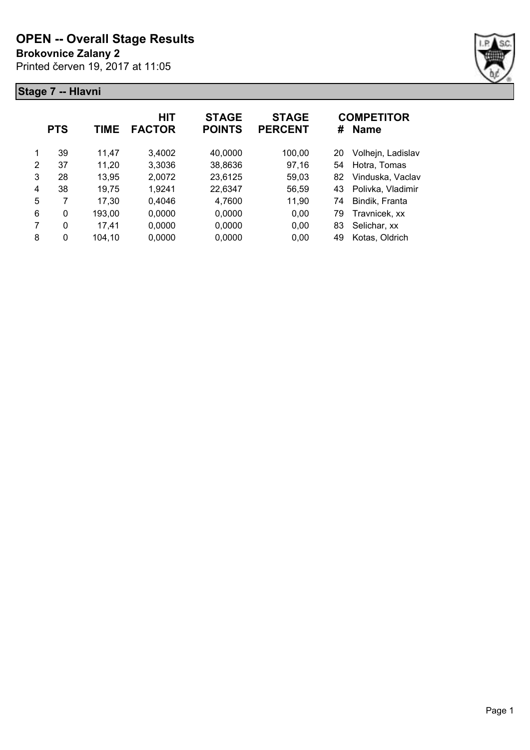**Brokovnice Zalany 2**

Printed červen 19, 2017 at 11:05



|   | <b>PTS</b> | TIME   | <b>HIT</b><br><b>FACTOR</b> | <b>STAGE</b><br><b>POINTS</b> | <b>STAGE</b><br><b>PERCENT</b> | #  | <b>COMPETITOR</b><br><b>Name</b> |
|---|------------|--------|-----------------------------|-------------------------------|--------------------------------|----|----------------------------------|
| 1 | 39         | 11,47  | 3,4002                      | 40,0000                       | 100,00                         | 20 | Volhejn, Ladislav                |
| 2 | 37         | 11,20  | 3,3036                      | 38,8636                       | 97,16                          | 54 | Hotra, Tomas                     |
| 3 | 28         | 13,95  | 2,0072                      | 23,6125                       | 59,03                          | 82 | Vinduska, Vaclav                 |
| 4 | 38         | 19,75  | 1,9241                      | 22,6347                       | 56,59                          | 43 | Polivka, Vladimir                |
| 5 | 7          | 17,30  | 0,4046                      | 4,7600                        | 11,90                          | 74 | Bindik, Franta                   |
| 6 | 0          | 193,00 | 0,0000                      | 0,0000                        | 0,00                           | 79 | Travnicek, xx                    |
| 7 | 0          | 17,41  | 0,0000                      | 0,0000                        | 0,00                           | 83 | Selichar, xx                     |
| 8 | 0          | 104,10 | 0,0000                      | 0,0000                        | 0,00                           | 49 | Kotas, Oldrich                   |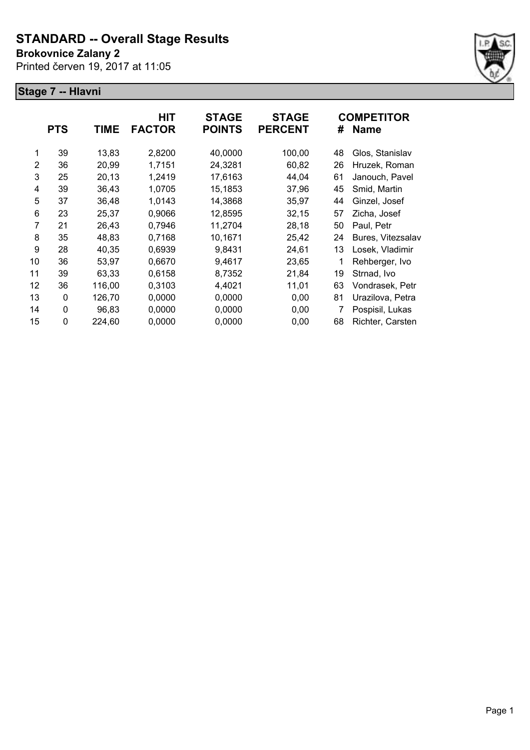**Brokovnice Zalany 2**

Printed červen 19, 2017 at 11:05



|    | <b>PTS</b> | <b>TIME</b> | <b>HIT</b><br><b>FACTOR</b> | <b>STAGE</b><br><b>POINTS</b> | <b>STAGE</b><br><b>PERCENT</b> | #  | <b>COMPETITOR</b><br><b>Name</b> |
|----|------------|-------------|-----------------------------|-------------------------------|--------------------------------|----|----------------------------------|
| 1  | 39         | 13,83       | 2,8200                      | 40,0000                       | 100,00                         | 48 | Glos, Stanislav                  |
| 2  | 36         | 20,99       | 1,7151                      | 24,3281                       | 60,82                          | 26 | Hruzek, Roman                    |
| 3  | 25         | 20,13       | 1,2419                      | 17,6163                       | 44,04                          | 61 | Janouch, Pavel                   |
| 4  | 39         | 36,43       | 1,0705                      | 15,1853                       | 37,96                          | 45 | Smid, Martin                     |
| 5  | 37         | 36,48       | 1,0143                      | 14,3868                       | 35,97                          | 44 | Ginzel, Josef                    |
| 6  | 23         | 25,37       | 0,9066                      | 12,8595                       | 32,15                          | 57 | Zicha, Josef                     |
| 7  | 21         | 26,43       | 0,7946                      | 11,2704                       | 28,18                          | 50 | Paul, Petr                       |
| 8  | 35         | 48,83       | 0,7168                      | 10,1671                       | 25,42                          | 24 | Bures, Vitezsalav                |
| 9  | 28         | 40,35       | 0,6939                      | 9,8431                        | 24,61                          | 13 | Losek, Vladimir                  |
| 10 | 36         | 53,97       | 0,6670                      | 9,4617                        | 23,65                          |    | Rehberger, Ivo                   |
| 11 | 39         | 63,33       | 0,6158                      | 8,7352                        | 21,84                          | 19 | Strnad, Ivo                      |
| 12 | 36         | 116,00      | 0,3103                      | 4,4021                        | 11,01                          | 63 | Vondrasek, Petr                  |
| 13 | 0          | 126,70      | 0,0000                      | 0,0000                        | 0,00                           | 81 | Urazilova, Petra                 |
| 14 | 0          | 96,83       | 0,0000                      | 0,0000                        | 0,00                           | 7  | Pospisil, Lukas                  |
| 15 | 0          | 224,60      | 0,0000                      | 0,0000                        | 0,00                           | 68 | Richter, Carsten                 |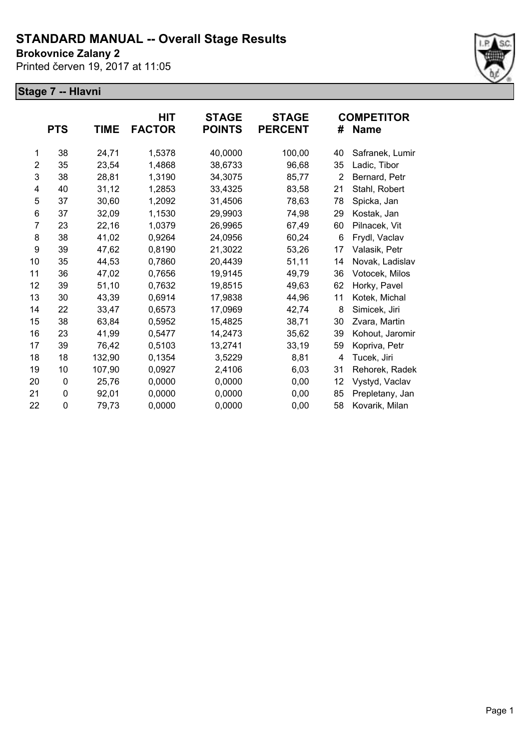**Brokovnice Zalany 2**

Printed červen 19, 2017 at 11:05



|                | <b>PTS</b> | <b>TIME</b> | HIT<br><b>FACTOR</b> | <b>STAGE</b><br><b>POINTS</b> | <b>STAGE</b><br><b>PERCENT</b> | #              | <b>COMPETITOR</b><br><b>Name</b> |
|----------------|------------|-------------|----------------------|-------------------------------|--------------------------------|----------------|----------------------------------|
| 1              | 38         | 24,71       | 1,5378               | 40,0000                       | 100,00                         | 40             | Safranek, Lumir                  |
| $\overline{2}$ | 35         | 23,54       | 1,4868               | 38,6733                       | 96,68                          | 35             | Ladic, Tibor                     |
| 3              | 38         | 28,81       | 1,3190               | 34,3075                       | 85,77                          | $\overline{2}$ | Bernard, Petr                    |
| 4              | 40         | 31,12       | 1,2853               | 33,4325                       | 83,58                          | 21             | Stahl, Robert                    |
| 5              | 37         | 30,60       | 1,2092               | 31,4506                       | 78,63                          | 78             | Spicka, Jan                      |
| 6              | 37         | 32,09       | 1,1530               | 29,9903                       | 74,98                          | 29             | Kostak, Jan                      |
| 7              | 23         | 22,16       | 1,0379               | 26,9965                       | 67,49                          | 60             | Pilnacek, Vit                    |
| 8              | 38         | 41,02       | 0,9264               | 24,0956                       | 60,24                          | 6              | Frydl, Vaclav                    |
| 9              | 39         | 47,62       | 0,8190               | 21,3022                       | 53,26                          | 17             | Valasik, Petr                    |
| 10             | 35         | 44,53       | 0,7860               | 20,4439                       | 51,11                          | 14             | Novak, Ladislav                  |
| 11             | 36         | 47,02       | 0,7656               | 19,9145                       | 49,79                          | 36             | Votocek, Milos                   |
| 12             | 39         | 51,10       | 0,7632               | 19,8515                       | 49,63                          | 62             | Horky, Pavel                     |
| 13             | 30         | 43,39       | 0,6914               | 17,9838                       | 44,96                          | 11             | Kotek, Michal                    |
| 14             | 22         | 33,47       | 0,6573               | 17,0969                       | 42,74                          | 8              | Simicek, Jiri                    |
| 15             | 38         | 63,84       | 0,5952               | 15,4825                       | 38,71                          | 30             | Zvara, Martin                    |
| 16             | 23         | 41,99       | 0,5477               | 14,2473                       | 35,62                          | 39             | Kohout, Jaromir                  |
| 17             | 39         | 76,42       | 0,5103               | 13,2741                       | 33,19                          | 59             | Kopriva, Petr                    |
| 18             | 18         | 132,90      | 0,1354               | 3,5229                        | 8,81                           | 4              | Tucek, Jiri                      |
| 19             | 10         | 107,90      | 0,0927               | 2,4106                        | 6,03                           | 31             | Rehorek, Radek                   |
| 20             | 0          | 25,76       | 0,0000               | 0,0000                        | 0,00                           | 12             | Vystyd, Vaclav                   |
| 21             | 0          | 92,01       | 0,0000               | 0,0000                        | 0,00                           | 85             | Prepletany, Jan                  |
| 22             | 0          | 79,73       | 0,0000               | 0,0000                        | 0,00                           | 58             | Kovarik, Milan                   |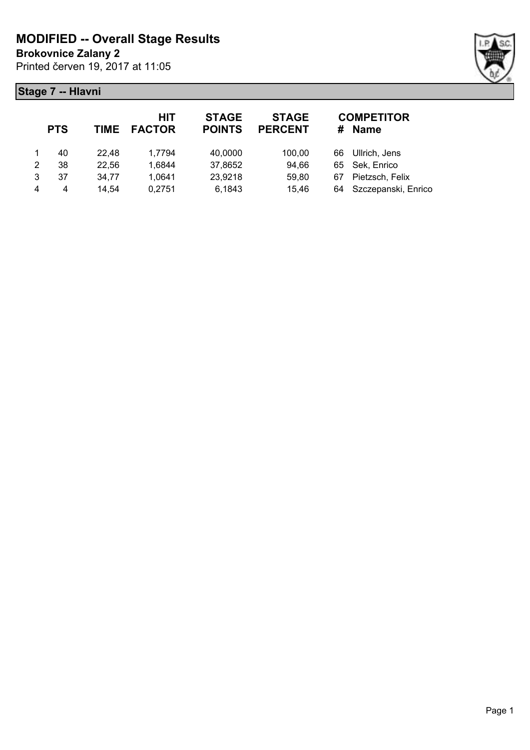**Brokovnice Zalany 2**

Printed červen 19, 2017 at 11:05



|   | <b>PTS</b> |       | HIT<br>TIME FACTOR | <b>STAGE</b><br><b>POINTS</b> | <b>STAGE</b><br><b>PERCENT</b> |    | <b>COMPETITOR</b><br># Name |
|---|------------|-------|--------------------|-------------------------------|--------------------------------|----|-----------------------------|
|   | 40         | 22.48 | 1,7794             | 40,0000                       | 100,00                         | 66 | Ullrich, Jens               |
| 2 | 38         | 22,56 | 1,6844             | 37,8652                       | 94,66                          |    | 65 Sek, Enrico              |
| 3 | 37         | 34,77 | 1,0641             | 23,9218                       | 59,80                          | 67 | Pietzsch, Felix             |
| 4 | 4          | 14,54 | 0,2751             | 6,1843                        | 15,46                          |    | 64 Szczepanski, Enrico      |